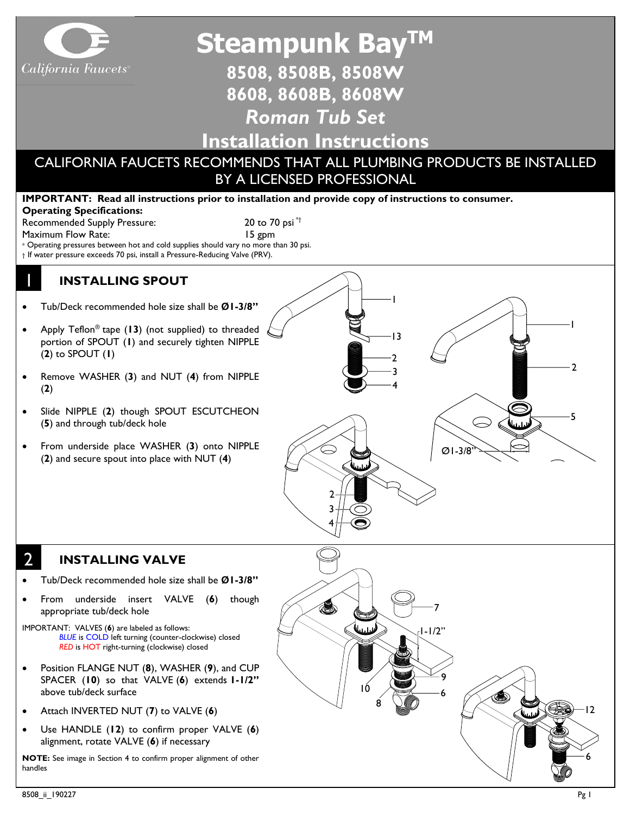

**Steampunk BayTM**

## **8508, 8508B, 8508W 8608, 8608B, 8608W**

# *Roman Tub Set*

# **Installation Instructions**

## CALIFORNIA FAUCETS RECOMMENDS THAT ALL PLUMBING PRODUCTS BE INSTALLED BY A LICENSED PROFESSIONAL